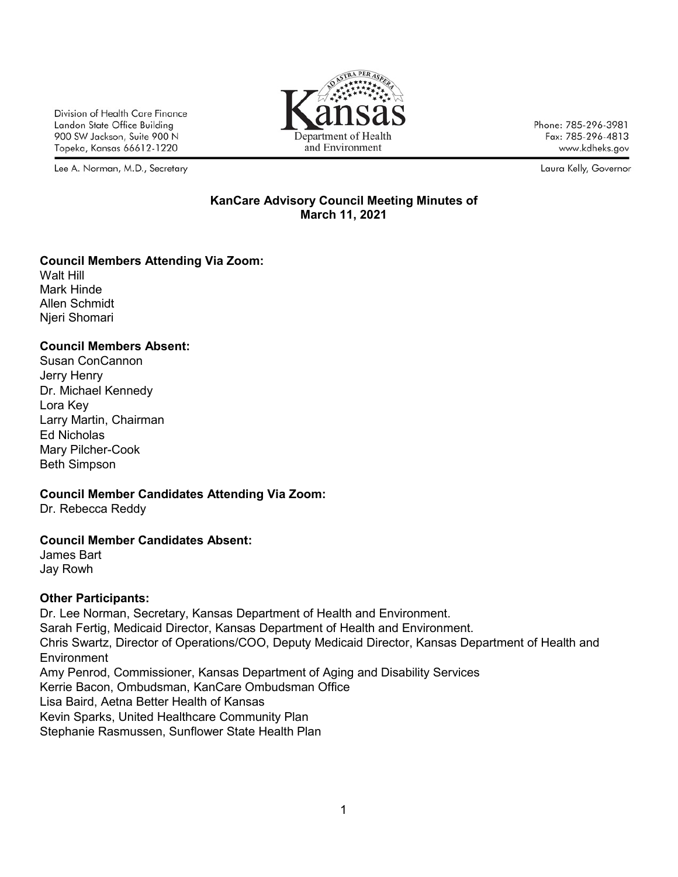Division of Health Care Finance Landon State Office Building 900 SW Jackson, Suite 900 N Topeka, Kansas 66612-1220

Lee A. Norman, M.D., Secretary



Phone: 785-296-3981 Fax: 785-296-4813 www.kdheks.gov

Laura Kelly, Governor

### **KanCare Advisory Council Meeting Minutes of March 11, 2021**

# **Council Members Attending Via Zoom:**

Walt Hill Mark Hinde Allen Schmidt Njeri Shomari

# **Council Members Absent:**

Susan ConCannon Jerry Henry Dr. Michael Kennedy Lora Key Larry Martin, Chairman Ed Nicholas Mary Pilcher-Cook Beth Simpson

# **Council Member Candidates Attending Via Zoom:**

Dr. Rebecca Reddy

# **Council Member Candidates Absent:**

James Bart Jay Rowh

# **Other Participants:**

Dr. Lee Norman, Secretary, Kansas Department of Health and Environment. Sarah Fertig, Medicaid Director, Kansas Department of Health and Environment. Chris Swartz, Director of Operations/COO, Deputy Medicaid Director, Kansas Department of Health and **Environment** Amy Penrod, Commissioner, Kansas Department of Aging and Disability Services Kerrie Bacon, Ombudsman, KanCare Ombudsman Office Lisa Baird, Aetna Better Health of Kansas Kevin Sparks, United Healthcare Community Plan

Stephanie Rasmussen, Sunflower State Health Plan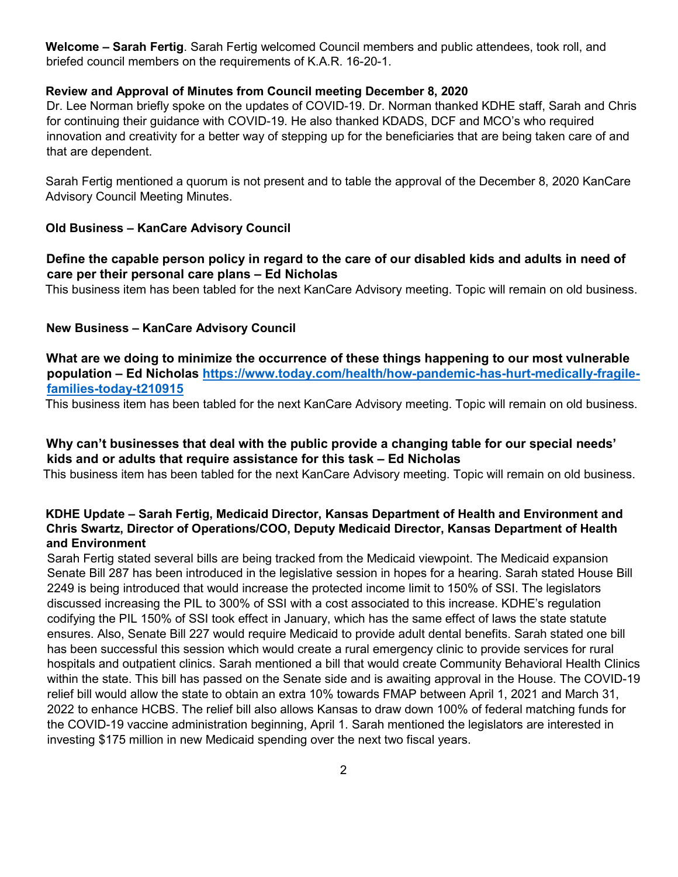**Welcome – Sarah Fertig**. Sarah Fertig welcomed Council members and public attendees, took roll, and briefed council members on the requirements of K.A.R. 16-20-1.

### **Review and Approval of Minutes from Council meeting December 8, 2020**

Dr. Lee Norman briefly spoke on the updates of COVID-19. Dr. Norman thanked KDHE staff, Sarah and Chris for continuing their guidance with COVID-19. He also thanked KDADS, DCF and MCO's who required innovation and creativity for a better way of stepping up for the beneficiaries that are being taken care of and that are dependent.

Sarah Fertig mentioned a quorum is not present and to table the approval of the December 8, 2020 KanCare Advisory Council Meeting Minutes.

#### **Old Business – KanCare Advisory Council**

### **Define the capable person policy in regard to the care of our disabled kids and adults in need of care per their personal care plans – Ed Nicholas**

This business item has been tabled for the next KanCare Advisory meeting. Topic will remain on old business.

### **New Business – KanCare Advisory Council**

**What are we doing to minimize the occurrence of these things happening to our most vulnerable population – Ed Nicholas [https://www.today.com/health/how-pandemic-has-hurt-medically-fragile](https://www.today.com/health/how-pandemic-has-hurt-medically-fragile-families-today-t210915)[families-today-t210915](https://www.today.com/health/how-pandemic-has-hurt-medically-fragile-families-today-t210915)**

This business item has been tabled for the next KanCare Advisory meeting. Topic will remain on old business.

### **Why can't businesses that deal with the public provide a changing table for our special needs' kids and or adults that require assistance for this task – Ed Nicholas**

This business item has been tabled for the next KanCare Advisory meeting. Topic will remain on old business.

### **KDHE Update – Sarah Fertig, Medicaid Director, Kansas Department of Health and Environment and Chris Swartz, Director of Operations/COO, Deputy Medicaid Director, Kansas Department of Health and Environment**

Sarah Fertig stated several bills are being tracked from the Medicaid viewpoint. The Medicaid expansion Senate Bill 287 has been introduced in the legislative session in hopes for a hearing. Sarah stated House Bill 2249 is being introduced that would increase the protected income limit to 150% of SSI. The legislators discussed increasing the PIL to 300% of SSI with a cost associated to this increase. KDHE's regulation codifying the PIL 150% of SSI took effect in January, which has the same effect of laws the state statute ensures. Also, Senate Bill 227 would require Medicaid to provide adult dental benefits. Sarah stated one bill has been successful this session which would create a rural emergency clinic to provide services for rural hospitals and outpatient clinics. Sarah mentioned a bill that would create Community Behavioral Health Clinics within the state. This bill has passed on the Senate side and is awaiting approval in the House. The COVID-19 relief bill would allow the state to obtain an extra 10% towards FMAP between April 1, 2021 and March 31, 2022 to enhance HCBS. The relief bill also allows Kansas to draw down 100% of federal matching funds for the COVID-19 vaccine administration beginning, April 1. Sarah mentioned the legislators are interested in investing \$175 million in new Medicaid spending over the next two fiscal years.